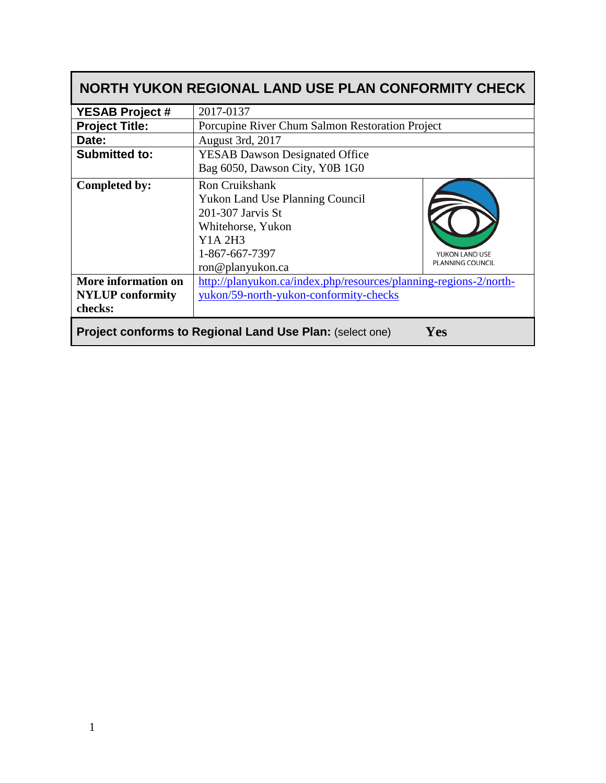| NORTH YUKON REGIONAL LAND USE PLAN CONFORMITY CHECK                           |                                                                                                                                                            |                                           |  |  |  |  |
|-------------------------------------------------------------------------------|------------------------------------------------------------------------------------------------------------------------------------------------------------|-------------------------------------------|--|--|--|--|
| <b>YESAB Project #</b>                                                        | 2017-0137                                                                                                                                                  |                                           |  |  |  |  |
| <b>Project Title:</b>                                                         | Porcupine River Chum Salmon Restoration Project                                                                                                            |                                           |  |  |  |  |
| Date:                                                                         | August 3rd, 2017                                                                                                                                           |                                           |  |  |  |  |
| <b>Submitted to:</b>                                                          | <b>YESAB Dawson Designated Office</b><br>Bag 6050, Dawson City, Y0B 1G0                                                                                    |                                           |  |  |  |  |
| Completed by:                                                                 | <b>Ron Cruikshank</b><br><b>Yukon Land Use Planning Council</b><br>201-307 Jarvis St<br>Whitehorse, Yukon<br>Y1A 2H3<br>1-867-667-7397<br>ron@planyukon.ca | YUKON LAND USE<br><b>PLANNING COUNCIL</b> |  |  |  |  |
| More information on<br><b>NYLUP</b> conformity<br>checks:                     | http://planyukon.ca/index.php/resources/planning-regions-2/north-<br>yukon/59-north-yukon-conformity-checks                                                |                                           |  |  |  |  |
| <b>Project conforms to Regional Land Use Plan: (select one)</b><br><b>Yes</b> |                                                                                                                                                            |                                           |  |  |  |  |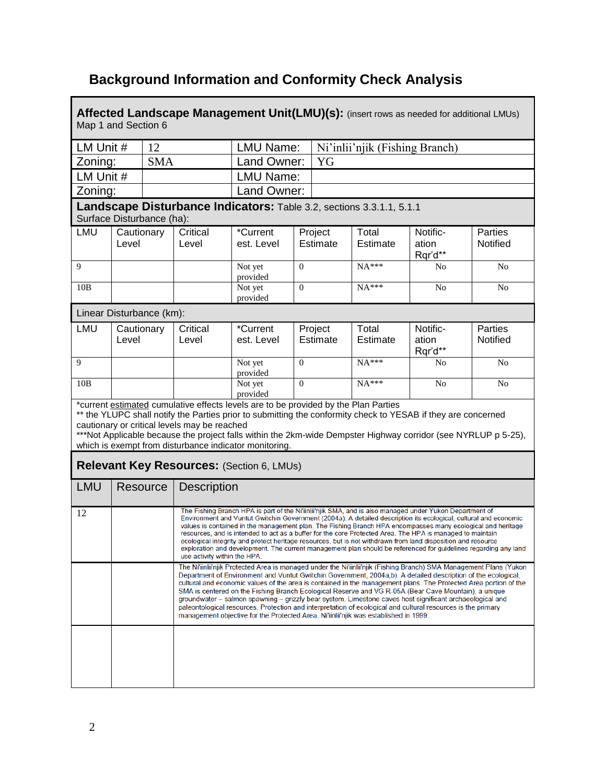## **Background Information and Conformity Check Analysis**

**Affected Landscape Management Unit(LMU)(s):** (insert rows as needed for additional LMUs) Map 1 and Section 6

| LM Unit #                                                                                                                                                                                                                                                                                                                                                                                                                        |                     | 12         |                                                                                                                                                                                                                                                                                                                                                                                                                                                                                                                                                                                                                                                                                                                                                                                                                                                                                                                                                                   | LMU Name:              |          |                     | Ni'inlii'njik (Fishing Branch) |                              |                                   |
|----------------------------------------------------------------------------------------------------------------------------------------------------------------------------------------------------------------------------------------------------------------------------------------------------------------------------------------------------------------------------------------------------------------------------------|---------------------|------------|-------------------------------------------------------------------------------------------------------------------------------------------------------------------------------------------------------------------------------------------------------------------------------------------------------------------------------------------------------------------------------------------------------------------------------------------------------------------------------------------------------------------------------------------------------------------------------------------------------------------------------------------------------------------------------------------------------------------------------------------------------------------------------------------------------------------------------------------------------------------------------------------------------------------------------------------------------------------|------------------------|----------|---------------------|--------------------------------|------------------------------|-----------------------------------|
| Zoning:                                                                                                                                                                                                                                                                                                                                                                                                                          |                     | <b>SMA</b> |                                                                                                                                                                                                                                                                                                                                                                                                                                                                                                                                                                                                                                                                                                                                                                                                                                                                                                                                                                   | Land Owner:            |          | YG                  |                                |                              |                                   |
| LM Unit #                                                                                                                                                                                                                                                                                                                                                                                                                        |                     |            |                                                                                                                                                                                                                                                                                                                                                                                                                                                                                                                                                                                                                                                                                                                                                                                                                                                                                                                                                                   | <b>LMU Name:</b>       |          |                     |                                |                              |                                   |
| Zoning:                                                                                                                                                                                                                                                                                                                                                                                                                          |                     |            |                                                                                                                                                                                                                                                                                                                                                                                                                                                                                                                                                                                                                                                                                                                                                                                                                                                                                                                                                                   | Land Owner:            |          |                     |                                |                              |                                   |
| Landscape Disturbance Indicators: Table 3.2, sections 3.3.1.1, 5.1.1<br>Surface Disturbance (ha):                                                                                                                                                                                                                                                                                                                                |                     |            |                                                                                                                                                                                                                                                                                                                                                                                                                                                                                                                                                                                                                                                                                                                                                                                                                                                                                                                                                                   |                        |          |                     |                                |                              |                                   |
| LMU                                                                                                                                                                                                                                                                                                                                                                                                                              | Cautionary          |            | Critical                                                                                                                                                                                                                                                                                                                                                                                                                                                                                                                                                                                                                                                                                                                                                                                                                                                                                                                                                          | *Current               |          | Project             | Total                          | Notific-                     | <b>Parties</b>                    |
|                                                                                                                                                                                                                                                                                                                                                                                                                                  | Level               |            | Level                                                                                                                                                                                                                                                                                                                                                                                                                                                                                                                                                                                                                                                                                                                                                                                                                                                                                                                                                             | est. Level             |          | Estimate            | Estimate                       | ation<br>Rqr'd**             | <b>Notified</b>                   |
| 9                                                                                                                                                                                                                                                                                                                                                                                                                                |                     |            |                                                                                                                                                                                                                                                                                                                                                                                                                                                                                                                                                                                                                                                                                                                                                                                                                                                                                                                                                                   | Not yet<br>provided    | $\Omega$ |                     | $NA***$                        | No                           | No                                |
| 10B                                                                                                                                                                                                                                                                                                                                                                                                                              |                     |            |                                                                                                                                                                                                                                                                                                                                                                                                                                                                                                                                                                                                                                                                                                                                                                                                                                                                                                                                                                   | Not yet<br>provided    | $\Omega$ |                     | $NA***$                        | No                           | No                                |
| Linear Disturbance (km):                                                                                                                                                                                                                                                                                                                                                                                                         |                     |            |                                                                                                                                                                                                                                                                                                                                                                                                                                                                                                                                                                                                                                                                                                                                                                                                                                                                                                                                                                   |                        |          |                     |                                |                              |                                   |
| LMU                                                                                                                                                                                                                                                                                                                                                                                                                              | Cautionary<br>Level |            | Critical<br>Level                                                                                                                                                                                                                                                                                                                                                                                                                                                                                                                                                                                                                                                                                                                                                                                                                                                                                                                                                 | *Current<br>est. Level |          | Project<br>Estimate | Total<br>Estimate              | Notific-<br>ation<br>Rqr'd** | <b>Parties</b><br><b>Notified</b> |
| 9                                                                                                                                                                                                                                                                                                                                                                                                                                |                     |            |                                                                                                                                                                                                                                                                                                                                                                                                                                                                                                                                                                                                                                                                                                                                                                                                                                                                                                                                                                   | Not yet<br>provided    | $\Omega$ |                     | $NA***$                        | No                           | No                                |
| 10B                                                                                                                                                                                                                                                                                                                                                                                                                              |                     |            |                                                                                                                                                                                                                                                                                                                                                                                                                                                                                                                                                                                                                                                                                                                                                                                                                                                                                                                                                                   | Not yet<br>provided    | $\theta$ |                     | $NA***$                        | No                           | N <sub>0</sub>                    |
| *current estimated cumulative effects levels are to be provided by the Plan Parties<br>** the YLUPC shall notify the Parties prior to submitting the conformity check to YESAB if they are concerned<br>cautionary or critical levels may be reached<br>***Not Applicable because the project falls within the 2km-wide Dempster Highway corridor (see NYRLUP p 5-25),<br>which is exempt from disturbance indicator monitoring. |                     |            |                                                                                                                                                                                                                                                                                                                                                                                                                                                                                                                                                                                                                                                                                                                                                                                                                                                                                                                                                                   |                        |          |                     |                                |                              |                                   |
| Relevant Key Resources: (Section 6, LMUs)                                                                                                                                                                                                                                                                                                                                                                                        |                     |            |                                                                                                                                                                                                                                                                                                                                                                                                                                                                                                                                                                                                                                                                                                                                                                                                                                                                                                                                                                   |                        |          |                     |                                |                              |                                   |
| <b>LMU</b>                                                                                                                                                                                                                                                                                                                                                                                                                       |                     | Resource   | <b>Description</b>                                                                                                                                                                                                                                                                                                                                                                                                                                                                                                                                                                                                                                                                                                                                                                                                                                                                                                                                                |                        |          |                     |                                |                              |                                   |
| 12                                                                                                                                                                                                                                                                                                                                                                                                                               |                     |            | The Fishing Branch HPA is part of the Ni'iinlii'njik SMA, and is also managed under Yukon Department of<br>Environment and Vuntut Gwitchin Government (2004a). A detailed description its ecological, cultural and economic<br>values is contained in the management plan. The Fishing Branch HPA encompasses many ecological and heritage<br>resources, and is intended to act as a buffer for the core Protected Area. The HPA is managed to maintain<br>ecological integrity and protect heritage resources, but is not withdrawn from land disposition and resource<br>exploration and development. The current management plan should be referenced for guidelines regarding any land<br>use activity within the HPA.<br>The Ni'iinlii'njik Protected Area is managed under the Ni'iinlii'njik (Fishing Branch) SMA Management Plans (Yukon<br>Department of Environment and Vuntut Gwitchin Government, 2004a,b). A detailed description of the ecological, |                        |          |                     |                                |                              |                                   |
|                                                                                                                                                                                                                                                                                                                                                                                                                                  |                     |            | cultural and economic values of the area is contained in the management plans. The Protected Area portion of the<br>SMA is centered on the Fishing Branch Ecological Reserve and VG R-05A (Bear Cave Mountain), a unique<br>groundwater - salmon spawning - grizzly bear system. Limestone caves host significant archaeological and<br>paleontological resources. Protection and interpretation of ecological and cultural resources is the primary<br>management objective for the Protected Area. Ni'iinlii'njik was established in 1999.                                                                                                                                                                                                                                                                                                                                                                                                                      |                        |          |                     |                                |                              |                                   |
|                                                                                                                                                                                                                                                                                                                                                                                                                                  |                     |            |                                                                                                                                                                                                                                                                                                                                                                                                                                                                                                                                                                                                                                                                                                                                                                                                                                                                                                                                                                   |                        |          |                     |                                |                              |                                   |